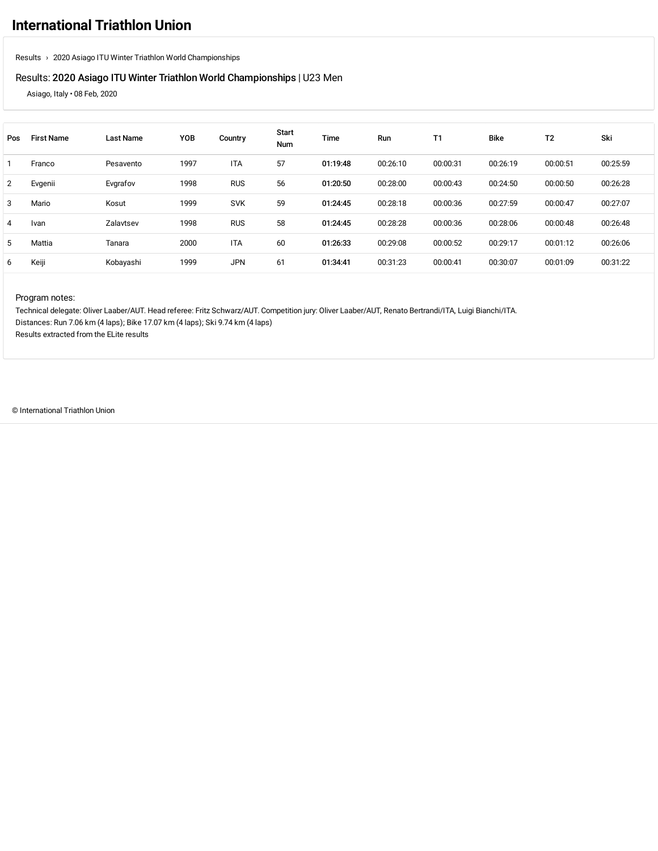### Results: 2020 Asiago ITU Winter Triathlon World [Championships](https://www.triathlon.org/events/event/2020_asiago_itu_winter_triathlon_world_championships) | U23 Men

Asiago, Italy • 08 Feb, 2020

| Pos | <b>First Name</b> | <b>Last Name</b> | YOB  | Country    | <b>Start</b><br><b>Num</b> | Time     | Run      | T1       | <b>Bike</b> | T <sub>2</sub> | Ski      |
|-----|-------------------|------------------|------|------------|----------------------------|----------|----------|----------|-------------|----------------|----------|
|     | Franco            | Pesavento        | 1997 | <b>ITA</b> | 57                         | 01:19:48 | 00:26:10 | 00:00:31 | 00:26:19    | 00:00:51       | 00:25:59 |
| 2   | Evgenii           | Evgrafov         | 1998 | <b>RUS</b> | 56                         | 01:20:50 | 00:28:00 | 00:00:43 | 00:24:50    | 00:00:50       | 00:26:28 |
| 3   | Mario             | Kosut            | 1999 | <b>SVK</b> | 59                         | 01:24:45 | 00:28:18 | 00:00:36 | 00:27:59    | 00:00:47       | 00:27:07 |
| 4   | Ivan              | Zalavtsev        | 1998 | <b>RUS</b> | 58                         | 01:24:45 | 00:28:28 | 00:00:36 | 00:28:06    | 00:00:48       | 00:26:48 |
| 5   | Mattia            | Tanara           | 2000 | <b>ITA</b> | 60                         | 01:26:33 | 00:29:08 | 00:00:52 | 00:29:17    | 00:01:12       | 00:26:06 |
| 6   | Keiji             | Kobayashi        | 1999 | <b>JPN</b> | 61                         | 01:34:41 | 00:31:23 | 00:00:41 | 00:30:07    | 00:01:09       | 00:31:22 |

#### Program notes:

Technical delegate: Oliver Laaber/AUT. Head referee: Fritz Schwarz/AUT. Competition jury: Oliver Laaber/AUT, Renato Bertrandi/ITA, Luigi Bianchi/ITA. Distances: Run 7.06 km (4 laps); Bike 17.07 km (4 laps); Ski 9.74 km (4 laps) Results extracted from the ELite results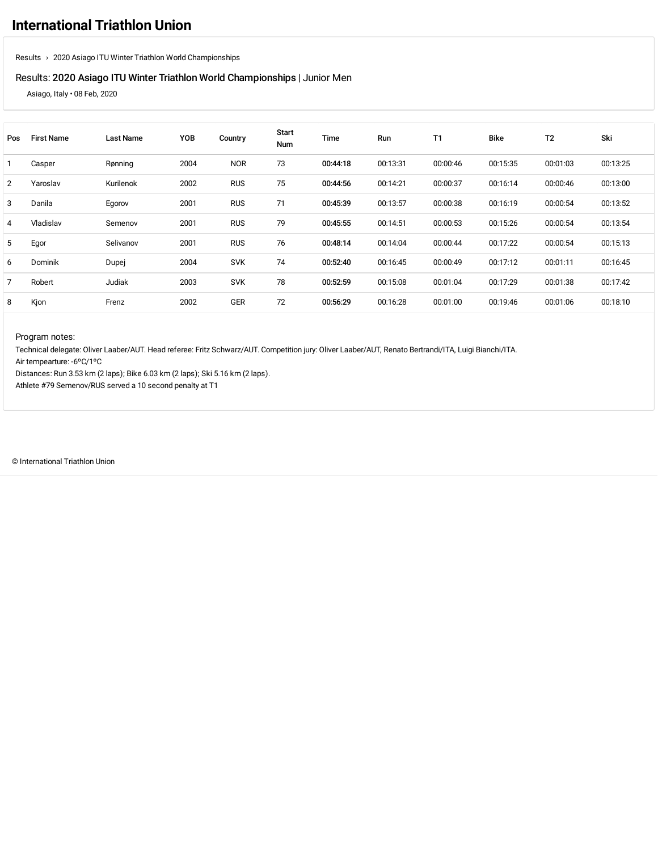#### Results: 2020 Asiago ITU Winter Triathlon World [Championships](https://www.triathlon.org/events/event/2020_asiago_itu_winter_triathlon_world_championships) | Junior Men

Asiago, Italy • 08 Feb, 2020

| Pos            | <b>First Name</b> | <b>Last Name</b> | YOB  | Country    | Start<br><b>Num</b> | Time     | Run      | <b>T1</b> | <b>Bike</b> | T <sub>2</sub> | Ski      |
|----------------|-------------------|------------------|------|------------|---------------------|----------|----------|-----------|-------------|----------------|----------|
|                | Casper            | Rønning          | 2004 | <b>NOR</b> | 73                  | 00:44:18 | 00:13:31 | 00:00:46  | 00:15:35    | 00:01:03       | 00:13:25 |
| $\overline{2}$ | Yaroslav          | Kurilenok        | 2002 | <b>RUS</b> | 75                  | 00:44:56 | 00:14:21 | 00:00:37  | 00:16:14    | 00:00:46       | 00:13:00 |
| 3              | Danila            | Egorov           | 2001 | <b>RUS</b> | 71                  | 00:45:39 | 00:13:57 | 00:00:38  | 00:16:19    | 00:00:54       | 00:13:52 |
| 4              | Vladislav         | Semenov          | 2001 | <b>RUS</b> | 79                  | 00:45:55 | 00:14:51 | 00:00:53  | 00:15:26    | 00:00:54       | 00:13:54 |
| 5              | Egor              | Selivanov        | 2001 | <b>RUS</b> | 76                  | 00:48:14 | 00:14:04 | 00:00:44  | 00:17:22    | 00:00:54       | 00:15:13 |
| 6              | Dominik           | Dupej            | 2004 | <b>SVK</b> | 74                  | 00:52:40 | 00:16:45 | 00:00:49  | 00:17:12    | 00:01:11       | 00:16:45 |
| 7              | Robert            | Judiak           | 2003 | <b>SVK</b> | 78                  | 00:52:59 | 00:15:08 | 00:01:04  | 00:17:29    | 00:01:38       | 00:17:42 |
| 8              | Kjon              | Frenz            | 2002 | GER        | 72                  | 00:56:29 | 00:16:28 | 00:01:00  | 00:19:46    | 00:01:06       | 00:18:10 |

Program notes:

Technical delegate: Oliver Laaber/AUT. Head referee: Fritz Schwarz/AUT. Competition jury: Oliver Laaber/AUT, Renato Bertrandi/ITA, Luigi Bianchi/ITA.

Air tempearture: -6ºC/1ºC

Distances: Run 3.53 km (2 laps); Bike 6.03 km (2 laps); Ski 5.16 km (2 laps).

Athlete #79 Semenov/RUS served a 10 second penalty at T1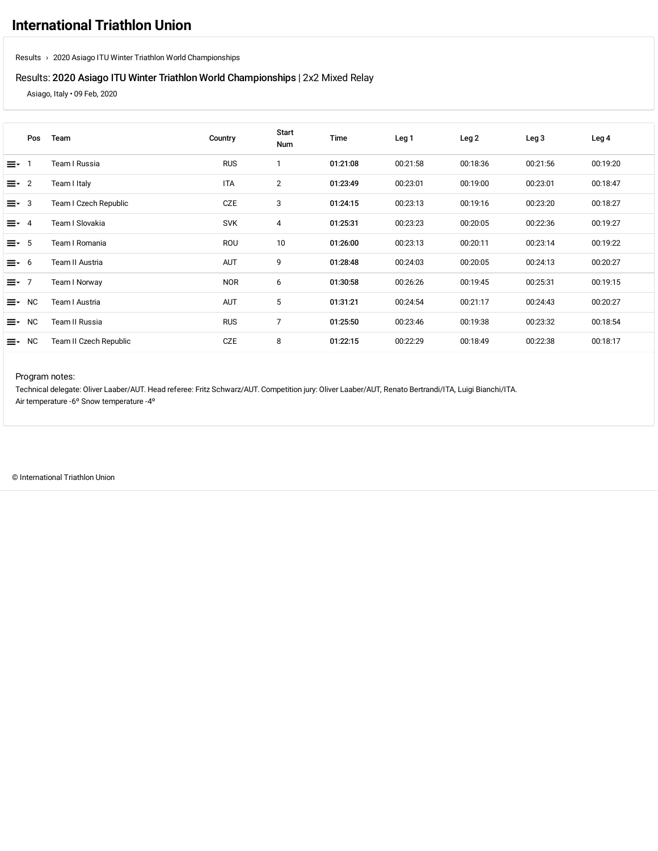### Results: 2020 Asiago ITU Winter Triathlon World [Championships](https://www.triathlon.org/events/event/2020_asiago_itu_winter_triathlon_world_championships) | 2x2 Mixed Relay

Asiago, Italy • 09 Feb, 2020

|             | Pos         | Team                   | Country    | Start<br>Num   | Time     | Leg <sub>1</sub> | Leg <sub>2</sub> | Leg <sub>3</sub> | Leg 4    |
|-------------|-------------|------------------------|------------|----------------|----------|------------------|------------------|------------------|----------|
| ≡- 1        |             | Team I Russia          | <b>RUS</b> | 1              | 01:21:08 | 00:21:58         | 00:18:36         | 00:21:56         | 00:19:20 |
| $\equiv$ 2  |             | Team I Italy           | <b>ITA</b> | $\overline{2}$ | 01:23:49 | 00:23:01         | 00:19:00         | 00:23:01         | 00:18:47 |
| $\equiv$ 3  |             | Team I Czech Republic  | CZE        | 3              | 01:24:15 | 00:23:13         | 00:19:16         | 00:23:20         | 00:18:27 |
| $\equiv$ 4  |             | Team I Slovakia        | <b>SVK</b> | 4              | 01:25:31 | 00:23:23         | 00:20:05         | 00:22:36         | 00:19:27 |
| $\equiv -5$ |             | Team I Romania         | ROU        | 10             | 01:26:00 | 00:23:13         | 00:20:11         | 00:23:14         | 00:19:22 |
| $\equiv$ 6  |             | Team II Austria        | <b>AUT</b> | 9              | 01:28:48 | 00:24:03         | 00:20:05         | 00:24:13         | 00:20:27 |
| $\equiv 7$  |             | Team I Norway          | <b>NOR</b> | 6              | 01:30:58 | 00:26:26         | 00:19:45         | 00:25:31         | 00:19:15 |
| ≡∗          | <b>NC</b>   | Team I Austria         | <b>AUT</b> | 5              | 01:31:21 | 00:24:54         | 00:21:17         | 00:24:43         | 00:20:27 |
| ≡∗          | <b>NC</b>   | Team II Russia         | <b>RUS</b> | $\overline{7}$ | 01:25:50 | 00:23:46         | 00:19:38         | 00:23:32         | 00:18:54 |
|             | $\equiv$ NC | Team II Czech Republic | CZE        | 8              | 01:22:15 | 00:22:29         | 00:18:49         | 00:22:38         | 00:18:17 |

#### Program notes:

Technical delegate: Oliver Laaber/AUT. Head referee: Fritz Schwarz/AUT. Competition jury: Oliver Laaber/AUT, Renato Bertrandi/ITA, Luigi Bianchi/ITA. Air temperature -6º Snow temperature -4º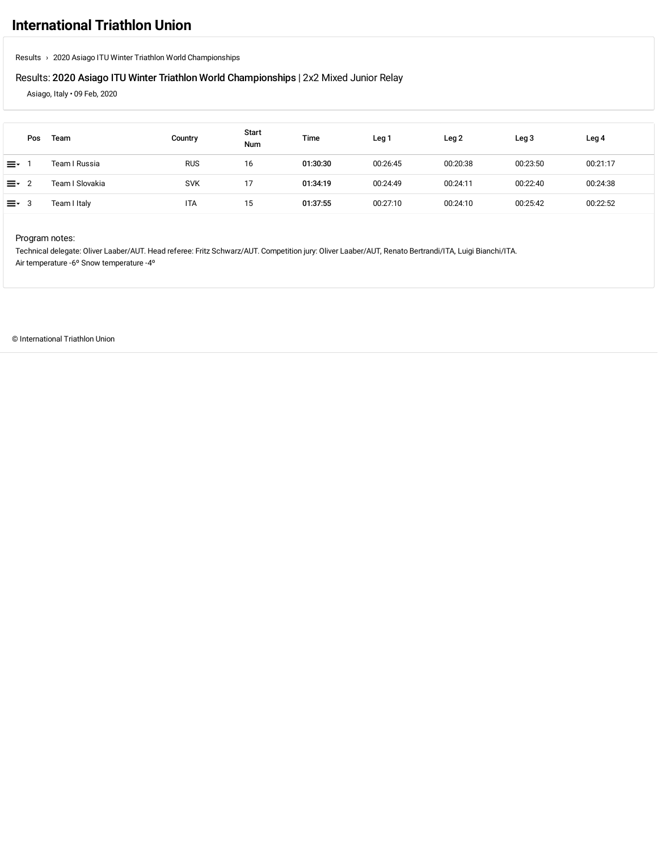# **[International](https://www.triathlon.org/) Triathlon Union**

[Results](https://www.triathlon.org/results/) › 2020 Asiago ITU Winter Triathlon World [Championships](https://www.triathlon.org/results/result/2020_asiago_itu_winter_triathlon_world_championships)

### Results: 2020 Asiago ITU Winter Triathlon World [Championships](https://www.triathlon.org/events/event/2020_asiago_itu_winter_triathlon_world_championships) | 2x2 Mixed Junior Relay

Asiago, Italy • 09 Feb, 2020

|                   | Pos | Team            | Country    | Start<br><b>Num</b> | Time     | Leg <sub>1</sub> | Leg 2    | Leg <sub>3</sub> | Leg 4    |
|-------------------|-----|-----------------|------------|---------------------|----------|------------------|----------|------------------|----------|
| ≕                 |     | Team I Russia   | <b>RUS</b> | 16                  | 01:30:30 | 00:26:45         | 00:20:38 | 00:23:50         | 00:21:17 |
| $\equiv$ $\sim$ 2 |     | Team I Slovakia | <b>SVK</b> | 17                  | 01:34:19 | 00:24:49         | 00:24:11 | 00:22:40         | 00:24:38 |
| '≡∗ు              |     | Team I Italy    | <b>ITA</b> | 15                  | 01:37:55 | 00:27:10         | 00:24:10 | 00:25:42         | 00:22:52 |

Program notes:

Technical delegate: Oliver Laaber/AUT. Head referee: Fritz Schwarz/AUT. Competition jury: Oliver Laaber/AUT, Renato Bertrandi/ITA, Luigi Bianchi/ITA. Air temperature -6º Snow temperature -4º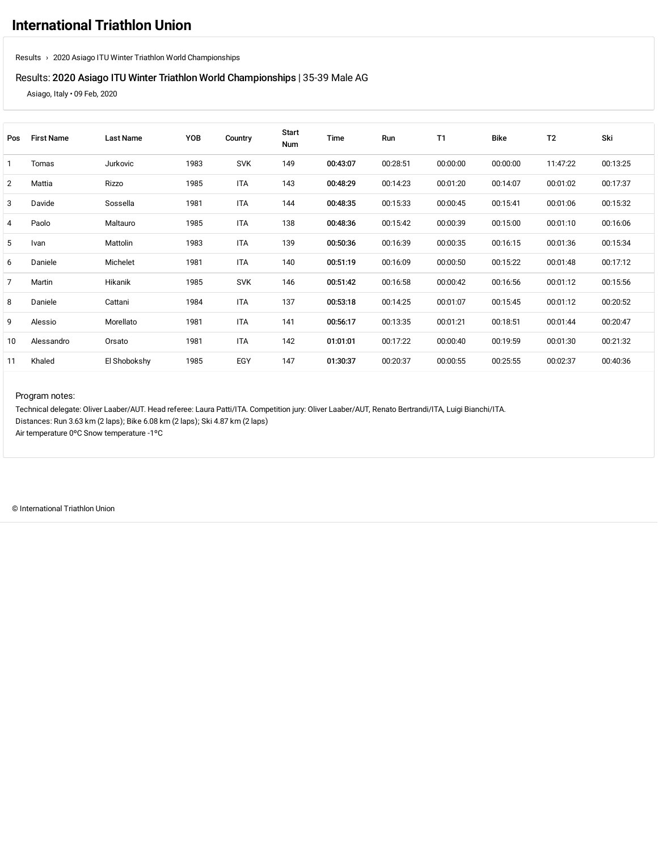### Results: 2020 Asiago ITU Winter Triathlon World [Championships](https://www.triathlon.org/events/event/2020_asiago_itu_winter_triathlon_world_championships) | 35-39 Male AG

Asiago, Italy • 09 Feb, 2020

| Pos | <b>First Name</b> | Last Name    | YOB  | Country    | <b>Start</b><br>Num | Time     | Run      | T1       | <b>Bike</b> | T <sub>2</sub> | Ski      |
|-----|-------------------|--------------|------|------------|---------------------|----------|----------|----------|-------------|----------------|----------|
|     | Tomas             | Jurkovic     | 1983 | <b>SVK</b> | 149                 | 00:43:07 | 00:28:51 | 00:00:00 | 00:00:00    | 11:47:22       | 00:13:25 |
| 2   | Mattia            | Rizzo        | 1985 | <b>ITA</b> | 143                 | 00:48:29 | 00:14:23 | 00:01:20 | 00:14:07    | 00:01:02       | 00:17:37 |
| 3   | Davide            | Sossella     | 1981 | <b>ITA</b> | 144                 | 00:48:35 | 00:15:33 | 00:00:45 | 00:15:41    | 00:01:06       | 00:15:32 |
| 4   | Paolo             | Maltauro     | 1985 | <b>ITA</b> | 138                 | 00:48:36 | 00:15:42 | 00:00:39 | 00:15:00    | 00:01:10       | 00:16:06 |
| 5   | Ivan              | Mattolin     | 1983 | <b>ITA</b> | 139                 | 00:50:36 | 00:16:39 | 00:00:35 | 00:16:15    | 00:01:36       | 00:15:34 |
| 6   | Daniele           | Michelet     | 1981 | ITA        | 140                 | 00:51:19 | 00:16:09 | 00:00:50 | 00:15:22    | 00:01:48       | 00:17:12 |
| 7   | Martin            | Hikanik      | 1985 | <b>SVK</b> | 146                 | 00:51:42 | 00:16:58 | 00:00:42 | 00:16:56    | 00:01:12       | 00:15:56 |
| 8   | Daniele           | Cattani      | 1984 | <b>ITA</b> | 137                 | 00:53:18 | 00:14:25 | 00:01:07 | 00:15:45    | 00:01:12       | 00:20:52 |
| 9   | Alessio           | Morellato    | 1981 | <b>ITA</b> | 141                 | 00:56:17 | 00:13:35 | 00:01:21 | 00:18:51    | 00:01:44       | 00:20:47 |
| 10  | Alessandro        | Orsato       | 1981 | <b>ITA</b> | 142                 | 01:01:01 | 00:17:22 | 00:00:40 | 00:19:59    | 00:01:30       | 00:21:32 |
| 11  | Khaled            | El Shobokshy | 1985 | EGY        | 147                 | 01:30:37 | 00:20:37 | 00:00:55 | 00:25:55    | 00:02:37       | 00:40:36 |

#### Program notes:

Technical delegate: Oliver Laaber/AUT. Head referee: Laura Patti/ITA. Competition jury: Oliver Laaber/AUT, Renato Bertrandi/ITA, Luigi Bianchi/ITA. Distances: Run 3.63 km (2 laps); Bike 6.08 km (2 laps); Ski 4.87 km (2 laps) Air temperature 0ºC Snow temperature -1ºC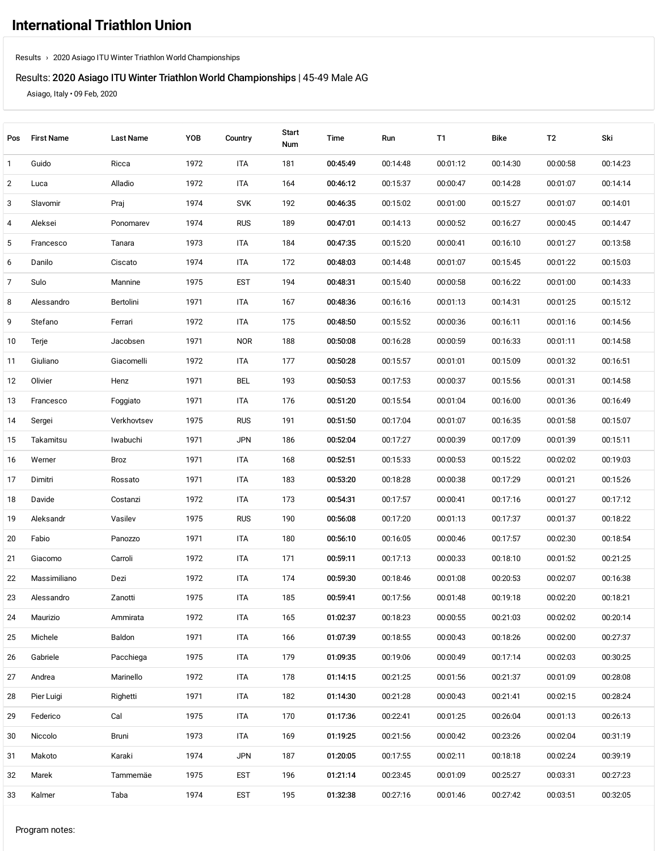## Results: 2020 Asiago ITU Winter Triathlon World [Championships](https://www.triathlon.org/events/event/2020_asiago_itu_winter_triathlon_world_championships) | 45-49 Male AG

Asiago, Italy • 09 Feb, 2020

| Pos | <b>First Name</b> | <b>Last Name</b> | YOB  | Country    | <b>Start</b><br>Num | Time     | Run      | T1       | Bike     | T <sub>2</sub> | Ski      |
|-----|-------------------|------------------|------|------------|---------------------|----------|----------|----------|----------|----------------|----------|
| 1   | Guido             | Ricca            | 1972 | ITA        | 181                 | 00:45:49 | 00:14:48 | 00:01:12 | 00:14:30 | 00:00:58       | 00:14:23 |
| 2   | Luca              | Alladio          | 1972 | ITA        | 164                 | 00:46:12 | 00:15:37 | 00:00:47 | 00:14:28 | 00:01:07       | 00:14:14 |
| 3   | Slavomir          | Praj             | 1974 | <b>SVK</b> | 192                 | 00:46:35 | 00:15:02 | 00:01:00 | 00:15:27 | 00:01:07       | 00:14:01 |
| 4   | Aleksei           | Ponomarev        | 1974 | <b>RUS</b> | 189                 | 00:47:01 | 00:14:13 | 00:00:52 | 00:16:27 | 00:00:45       | 00:14:47 |
| 5   | Francesco         | Tanara           | 1973 | ITA        | 184                 | 00:47:35 | 00:15:20 | 00:00:41 | 00:16:10 | 00:01:27       | 00:13:58 |
| 6   | Danilo            | Ciscato          | 1974 | ITA        | 172                 | 00:48:03 | 00:14:48 | 00:01:07 | 00:15:45 | 00:01:22       | 00:15:03 |
| 7   | Sulo              | Mannine          | 1975 | <b>EST</b> | 194                 | 00:48:31 | 00:15:40 | 00:00:58 | 00:16:22 | 00:01:00       | 00:14:33 |
| 8   | Alessandro        | Bertolini        | 1971 | ITA        | 167                 | 00:48:36 | 00:16:16 | 00:01:13 | 00:14:31 | 00:01:25       | 00:15:12 |
| 9   | Stefano           | Ferrari          | 1972 | <b>ITA</b> | 175                 | 00:48:50 | 00:15:52 | 00:00:36 | 00:16:11 | 00:01:16       | 00:14:56 |
| 10  | Terje             | Jacobsen         | 1971 | <b>NOR</b> | 188                 | 00:50:08 | 00:16:28 | 00:00:59 | 00:16:33 | 00:01:11       | 00:14:58 |
| 11  | Giuliano          | Giacomelli       | 1972 | ITA        | 177                 | 00:50:28 | 00:15:57 | 00:01:01 | 00:15:09 | 00:01:32       | 00:16:51 |
| 12  | Olivier           | Henz             | 1971 | <b>BEL</b> | 193                 | 00:50:53 | 00:17:53 | 00:00:37 | 00:15:56 | 00:01:31       | 00:14:58 |
| 13  | Francesco         | Foggiato         | 1971 | <b>ITA</b> | 176                 | 00:51:20 | 00:15:54 | 00:01:04 | 00:16:00 | 00:01:36       | 00:16:49 |
| 14  | Sergei            | Verkhovtsev      | 1975 | <b>RUS</b> | 191                 | 00:51:50 | 00:17:04 | 00:01:07 | 00:16:35 | 00:01:58       | 00:15:07 |
| 15  | Takamitsu         | Iwabuchi         | 1971 | <b>JPN</b> | 186                 | 00:52:04 | 00:17:27 | 00:00:39 | 00:17:09 | 00:01:39       | 00:15:11 |
| 16  | Werner            | Broz             | 1971 | ITA        | 168                 | 00:52:51 | 00:15:33 | 00:00:53 | 00:15:22 | 00:02:02       | 00:19:03 |
| 17  | Dimitri           | Rossato          | 1971 | ITA        | 183                 | 00:53:20 | 00:18:28 | 00:00:38 | 00:17:29 | 00:01:21       | 00:15:26 |
| 18  | Davide            | Costanzi         | 1972 | ITA        | 173                 | 00:54:31 | 00:17:57 | 00:00:41 | 00:17:16 | 00:01:27       | 00:17:12 |
| 19  | Aleksandr         | Vasilev          | 1975 | <b>RUS</b> | 190                 | 00:56:08 | 00:17:20 | 00:01:13 | 00:17:37 | 00:01:37       | 00:18:22 |
| 20  | Fabio             | Panozzo          | 1971 | ITA        | 180                 | 00:56:10 | 00:16:05 | 00:00:46 | 00:17:57 | 00:02:30       | 00:18:54 |
| 21  | Giacomo           | Carroli          | 1972 | <b>ITA</b> | 171                 | 00:59:11 | 00:17:13 | 00:00:33 | 00:18:10 | 00:01:52       | 00:21:25 |
| 22  | Massimiliano      | Dezi             | 1972 | ITA        | 174                 | 00:59:30 | 00:18:46 | 00:01:08 | 00:20:53 | 00:02:07       | 00:16:38 |
| 23  | Alessandro        | Zanotti          | 1975 | ITA        | 185                 | 00:59:41 | 00:17:56 | 00:01:48 | 00:19:18 | 00:02:20       | 00:18:21 |
| 24  | Maurizio          | Ammirata         | 1972 | ITA        | 165                 | 01:02:37 | 00:18:23 | 00:00:55 | 00:21:03 | 00:02:02       | 00:20:14 |
| 25  | Michele           | Baldon           | 1971 | ITA        | 166                 | 01:07:39 | 00:18:55 | 00:00:43 | 00:18:26 | 00:02:00       | 00:27:37 |
| 26  | Gabriele          | Pacchiega        | 1975 | ITA        | 179                 | 01:09:35 | 00:19:06 | 00:00:49 | 00:17:14 | 00:02:03       | 00:30:25 |
| 27  | Andrea            | Marinello        | 1972 | ITA        | 178                 | 01:14:15 | 00:21:25 | 00:01:56 | 00:21:37 | 00:01:09       | 00:28:08 |
| 28  | Pier Luigi        | Righetti         | 1971 | ITA        | 182                 | 01:14:30 | 00:21:28 | 00:00:43 | 00:21:41 | 00:02:15       | 00:28:24 |
| 29  | Federico          | Cal              | 1975 | ITA        | 170                 | 01:17:36 | 00:22:41 | 00:01:25 | 00:26:04 | 00:01:13       | 00:26:13 |
| 30  | Niccolo           | Bruni            | 1973 | ITA        | 169                 | 01:19:25 | 00:21:56 | 00:00:42 | 00:23:26 | 00:02:04       | 00:31:19 |
| 31  | Makoto            | Karaki           | 1974 | <b>JPN</b> | 187                 | 01:20:05 | 00:17:55 | 00:02:11 | 00:18:18 | 00:02:24       | 00:39:19 |
| 32  | Marek             | Tammemäe         | 1975 | <b>EST</b> | 196                 | 01:21:14 | 00:23:45 | 00:01:09 | 00:25:27 | 00:03:31       | 00:27:23 |
| 33  | Kalmer            | Taba             | 1974 | <b>EST</b> | 195                 | 01:32:38 | 00:27:16 | 00:01:46 | 00:27:42 | 00:03:51       | 00:32:05 |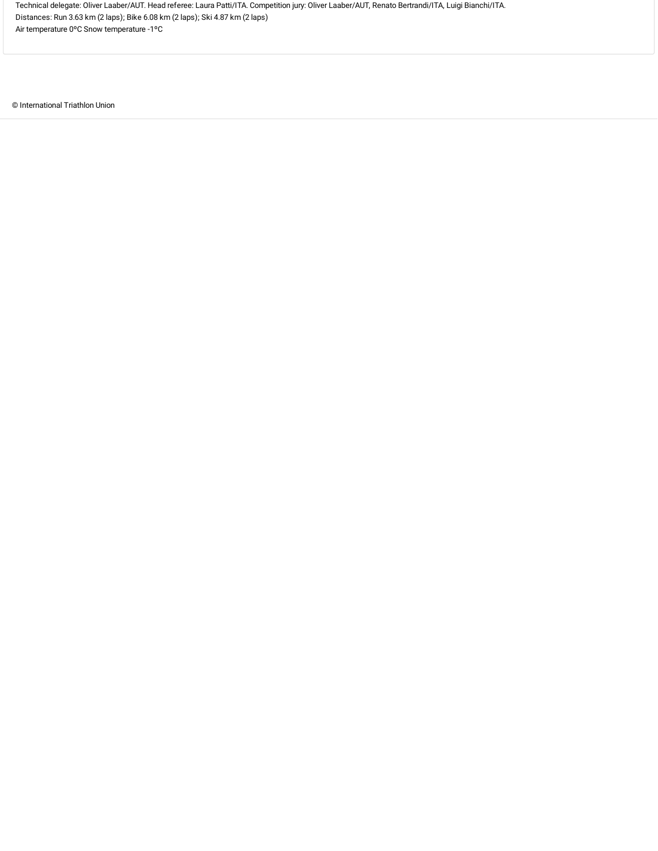Technical delegate: Oliver Laaber/AUT. Head referee: Laura Patti/ITA. Competition jury: Oliver Laaber/AUT, Renato Bertrandi/ITA, Luigi Bianchi/ITA. Distances: Run 3.63 km (2 laps); Bike 6.08 km (2 laps); Ski 4.87 km (2 laps) Air temperature 0ºC Snow temperature -1ºC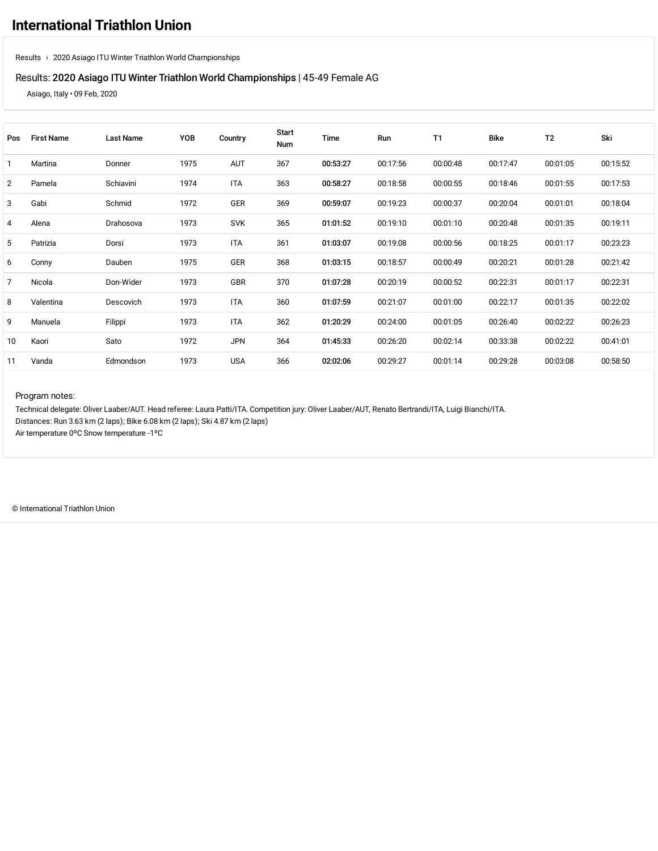### Results: 2020 Asiago ITU Winter Triathlon World [Championships](https://www.triathlon.org/events/event/2020_asiago_itu_winter_triathlon_world_championships) | 45-49 Female AG

Asiago, Italy • 09 Feb, 2020

| Pos | <b>First Name</b> | <b>Last Name</b> | YOB  | Country    | Start<br>Num | Time     | Run      | T1       | <b>Bike</b> | T <sub>2</sub> | Ski      |
|-----|-------------------|------------------|------|------------|--------------|----------|----------|----------|-------------|----------------|----------|
|     | Martina           | Donner           | 1975 | <b>AUT</b> | 367          | 00:53:27 | 00:17:56 | 00:00:48 | 00:17:47    | 00:01:05       | 00:15:52 |
| 2   | Pamela            | Schiavini        | 1974 | <b>ITA</b> | 363          | 00:58:27 | 00:18:58 | 00:00:55 | 00:18:46    | 00:01:55       | 00:17:53 |
| 3   | Gabi              | Schmid           | 1972 | GER        | 369          | 00:59:07 | 00:19:23 | 00:00:37 | 00:20:04    | 00:01:01       | 00:18:04 |
| 4   | Alena             | Drahosova        | 1973 | <b>SVK</b> | 365          | 01:01:52 | 00:19:10 | 00:01:10 | 00:20:48    | 00:01:35       | 00:19:11 |
| 5   | Patrizia          | Dorsi            | 1973 | <b>ITA</b> | 361          | 01:03:07 | 00:19:08 | 00:00:56 | 00:18:25    | 00:01:17       | 00:23:23 |
| 6   | Conny             | Dauben           | 1975 | GER        | 368          | 01:03:15 | 00:18:57 | 00:00:49 | 00:20:21    | 00:01:28       | 00:21:42 |
| 7   | Nicola            | Don-Wider        | 1973 | GBR        | 370          | 01:07:28 | 00:20:19 | 00:00:52 | 00:22:31    | 00:01:17       | 00:22:31 |
| 8   | Valentina         | Descovich        | 1973 | <b>ITA</b> | 360          | 01:07:59 | 00:21:07 | 00:01:00 | 00:22:17    | 00:01:35       | 00:22:02 |
| 9   | Manuela           | Filippi          | 1973 | <b>ITA</b> | 362          | 01:20:29 | 00:24:00 | 00:01:05 | 00:26:40    | 00:02:22       | 00:26:23 |
| 10  | Kaori             | Sato             | 1972 | <b>JPN</b> | 364          | 01:45:33 | 00:26:20 | 00:02:14 | 00:33:38    | 00:02:22       | 00:41:01 |
| 11  | Vanda             | Edmondson        | 1973 | <b>USA</b> | 366          | 02:02:06 | 00:29:27 | 00:01:14 | 00:29:28    | 00:03:08       | 00:58:50 |

#### Program notes:

Technical delegate: Oliver Laaber/AUT. Head referee: Laura Patti/ITA. Competition jury: Oliver Laaber/AUT, Renato Bertrandi/ITA, Luigi Bianchi/ITA. Distances: Run 3.63 km (2 laps); Bike 6.08 km (2 laps); Ski 4.87 km (2 laps) Air temperature 0ºC Snow temperature -1ºC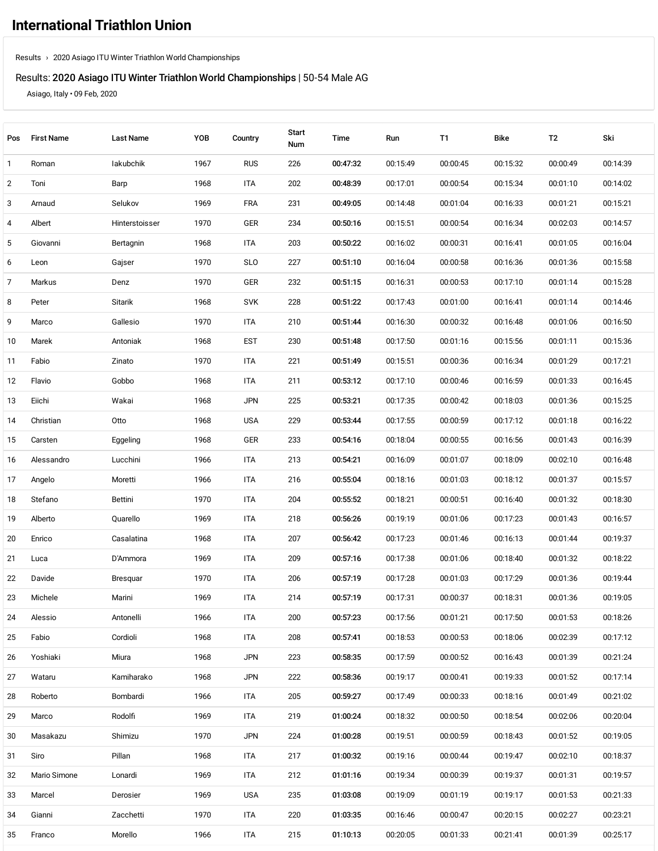# Results: 2020 Asiago ITU Winter Triathlon World [Championships](https://www.triathlon.org/events/event/2020_asiago_itu_winter_triathlon_world_championships) | 50-54 Male AG

Asiago, Italy • 09 Feb, 2020

| Pos            | <b>First Name</b> | <b>Last Name</b> | YOB  | Country    | <b>Start</b><br>Num | Time     | Run      | <b>T1</b> | <b>Bike</b> | T2       | Ski      |
|----------------|-------------------|------------------|------|------------|---------------------|----------|----------|-----------|-------------|----------|----------|
| $\mathbf{1}$   | Roman             | lakubchik        | 1967 | <b>RUS</b> | 226                 | 00:47:32 | 00:15:49 | 00:00:45  | 00:15:32    | 00:00:49 | 00:14:39 |
| $\overline{2}$ | Toni              | Barp             | 1968 | ITA        | 202                 | 00:48:39 | 00:17:01 | 00:00:54  | 00:15:34    | 00:01:10 | 00:14:02 |
| 3              | Arnaud            | Selukov          | 1969 | FRA        | 231                 | 00:49:05 | 00:14:48 | 00:01:04  | 00:16:33    | 00:01:21 | 00:15:21 |
| 4              | Albert            | Hinterstoisser   | 1970 | GER        | 234                 | 00:50:16 | 00:15:51 | 00:00:54  | 00:16:34    | 00:02:03 | 00:14:57 |
| 5              | Giovanni          | Bertagnin        | 1968 | ITA        | 203                 | 00:50:22 | 00:16:02 | 00:00:31  | 00:16:41    | 00:01:05 | 00:16:04 |
| 6              | Leon              | Gajser           | 1970 | <b>SLO</b> | 227                 | 00:51:10 | 00:16:04 | 00:00:58  | 00:16:36    | 00:01:36 | 00:15:58 |
| 7              | Markus            | Denz             | 1970 | GER        | 232                 | 00:51:15 | 00:16:31 | 00:00:53  | 00:17:10    | 00:01:14 | 00:15:28 |
| 8              | Peter             | Sitarik          | 1968 | <b>SVK</b> | 228                 | 00:51:22 | 00:17:43 | 00:01:00  | 00:16:41    | 00:01:14 | 00:14:46 |
| 9              | Marco             | Gallesio         | 1970 | ITA        | 210                 | 00:51:44 | 00:16:30 | 00:00:32  | 00:16:48    | 00:01:06 | 00:16:50 |
| 10             | Marek             | Antoniak         | 1968 | <b>EST</b> | 230                 | 00:51:48 | 00:17:50 | 00:01:16  | 00:15:56    | 00:01:11 | 00:15:36 |
| 11             | Fabio             | Zinato           | 1970 | ITA        | 221                 | 00:51:49 | 00:15:51 | 00:00:36  | 00:16:34    | 00:01:29 | 00:17:21 |
| 12             | Flavio            | Gobbo            | 1968 | ITA        | 211                 | 00:53:12 | 00:17:10 | 00:00:46  | 00:16:59    | 00:01:33 | 00:16:45 |
| 13             | Eiichi            | Wakai            | 1968 | <b>JPN</b> | 225                 | 00:53:21 | 00:17:35 | 00:00:42  | 00:18:03    | 00:01:36 | 00:15:25 |
| 14             | Christian         | Otto             | 1968 | <b>USA</b> | 229                 | 00:53:44 | 00:17:55 | 00:00:59  | 00:17:12    | 00:01:18 | 00:16:22 |
| 15             | Carsten           | Eggeling         | 1968 | GER        | 233                 | 00:54:16 | 00:18:04 | 00:00:55  | 00:16:56    | 00:01:43 | 00:16:39 |
| 16             | Alessandro        | Lucchini         | 1966 | ITA        | 213                 | 00:54:21 | 00:16:09 | 00:01:07  | 00:18:09    | 00:02:10 | 00:16:48 |
| 17             | Angelo            | Moretti          | 1966 | ITA        | 216                 | 00:55:04 | 00:18:16 | 00:01:03  | 00:18:12    | 00:01:37 | 00:15:57 |
| 18             | Stefano           | Bettini          | 1970 | ITA        | 204                 | 00:55:52 | 00:18:21 | 00:00:51  | 00:16:40    | 00:01:32 | 00:18:30 |
| 19             | Alberto           | Quarello         | 1969 | ITA        | 218                 | 00:56:26 | 00:19:19 | 00:01:06  | 00:17:23    | 00:01:43 | 00:16:57 |
| 20             | Enrico            | Casalatina       | 1968 | ITA        | 207                 | 00:56:42 | 00:17:23 | 00:01:46  | 00:16:13    | 00:01:44 | 00:19:37 |
| 21             | Luca              | D'Ammora         | 1969 | ITA        | 209                 | 00:57:16 | 00:17:38 | 00:01:06  | 00:18:40    | 00:01:32 | 00:18:22 |
| 22             | Davide            | Bresquar         | 1970 | ITA        | 206                 | 00:57:19 | 00:17:28 | 00:01:03  | 00:17:29    | 00:01:36 | 00:19:44 |
| 23             | Michele           | Marini           | 1969 | <b>ITA</b> | 214                 | 00:57:19 | 00:17:31 | 00:00:37  | 00:18:31    | 00:01:36 | 00:19:05 |
| 24             | Alessio           | Antonelli        | 1966 | <b>ITA</b> | 200                 | 00:57:23 | 00:17:56 | 00:01:21  | 00:17:50    | 00:01:53 | 00:18:26 |
| 25             | Fabio             | Cordioli         | 1968 | ITA        | 208                 | 00:57:41 | 00:18:53 | 00:00:53  | 00:18:06    | 00:02:39 | 00:17:12 |
| 26             | Yoshiaki          | Miura            | 1968 | <b>JPN</b> | 223                 | 00:58:35 | 00:17:59 | 00:00:52  | 00:16:43    | 00:01:39 | 00:21:24 |
| 27             | Wataru            | Kamiharako       | 1968 | <b>JPN</b> | 222                 | 00:58:36 | 00:19:17 | 00:00:41  | 00:19:33    | 00:01:52 | 00:17:14 |
| 28             | Roberto           | Bombardi         | 1966 | ITA        | 205                 | 00:59:27 | 00:17:49 | 00:00:33  | 00:18:16    | 00:01:49 | 00:21:02 |
| 29             | Marco             | Rodolfi          | 1969 | ITA        | 219                 | 01:00:24 | 00:18:32 | 00:00:50  | 00:18:54    | 00:02:06 | 00:20:04 |
| 30             | Masakazu          | Shimizu          | 1970 | <b>JPN</b> | 224                 | 01:00:28 | 00:19:51 | 00:00:59  | 00:18:43    | 00:01:52 | 00:19:05 |
| 31             | Siro              | Pillan           | 1968 | ITA        | 217                 | 01:00:32 | 00:19:16 | 00:00:44  | 00:19:47    | 00:02:10 | 00:18:37 |
| 32             | Mario Simone      | Lonardi          | 1969 | ITA        | 212                 | 01:01:16 | 00:19:34 | 00:00:39  | 00:19:37    | 00:01:31 | 00:19:57 |
| 33             | Marcel            | Derosier         | 1969 | <b>USA</b> | 235                 | 01:03:08 | 00:19:09 | 00:01:19  | 00:19:17    | 00:01:53 | 00:21:33 |
| 34             | Gianni            | Zacchetti        | 1970 | ITA        | 220                 | 01:03:35 | 00:16:46 | 00:00:47  | 00:20:15    | 00:02:27 | 00:23:21 |
| 35             | Franco            | Morello          | 1966 | ITA        | 215                 | 01:10:13 | 00:20:05 | 00:01:33  | 00:21:41    | 00:01:39 | 00:25:17 |